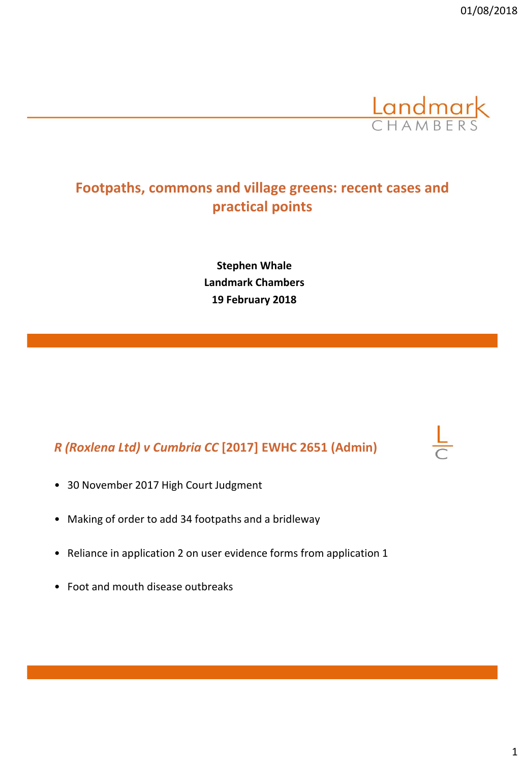

# **Footpaths, commons and village greens: recent cases and practical points**

**Stephen Whale Landmark Chambers 19 February 2018**

# *R (Roxlena Ltd) v Cumbria CC* **[2017] EWHC 2651 (Admin)**

- 30 November 2017 High Court Judgment
- Making of order to add 34 footpaths and a bridleway
- Reliance in application 2 on user evidence forms from application 1
- Foot and mouth disease outbreaks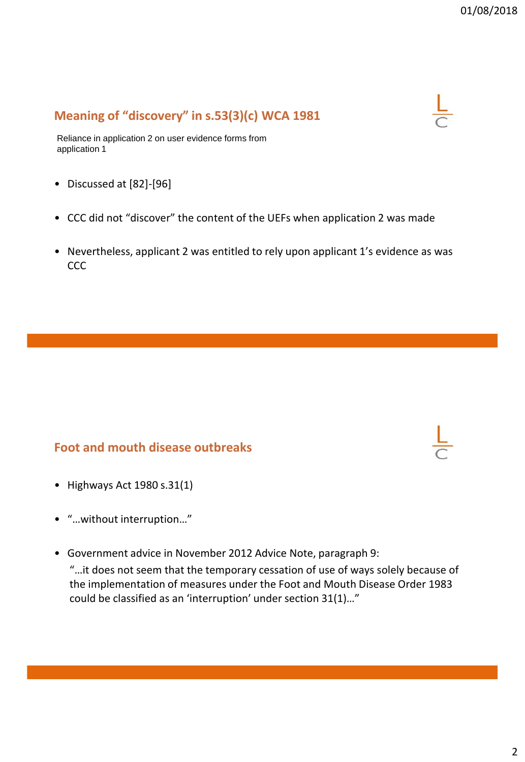# **Meaning of "discovery" in s.53(3)(c) WCA 1981**



Reliance in application 2 on user evidence forms from application 1

- Discussed at [82]-[96]
- CCC did not "discover" the content of the UEFs when application 2 was made
- Nevertheless, applicant 2 was entitled to rely upon applicant 1's evidence as was **CCC**

#### **Foot and mouth disease outbreaks**

- Highways Act 1980 s.31(1)
- "…without interruption…"
- Government advice in November 2012 Advice Note, paragraph 9:

"…it does not seem that the temporary cessation of use of ways solely because of the implementation of measures under the Foot and Mouth Disease Order 1983 could be classified as an 'interruption' under section 31(1)…"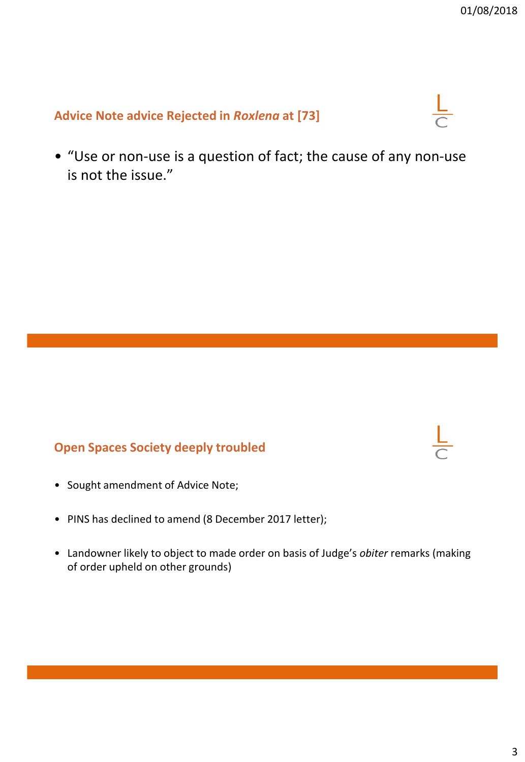### **Advice Note advice Rejected in** *Roxlena* **at [73]**



• "Use or non-use is a question of fact; the cause of any non-use is not the issue."

### **Open Spaces Society deeply troubled**

- Sought amendment of Advice Note;
- PINS has declined to amend (8 December 2017 letter);
- Landowner likely to object to made order on basis of Judge's *obiter* remarks (making of order upheld on other grounds)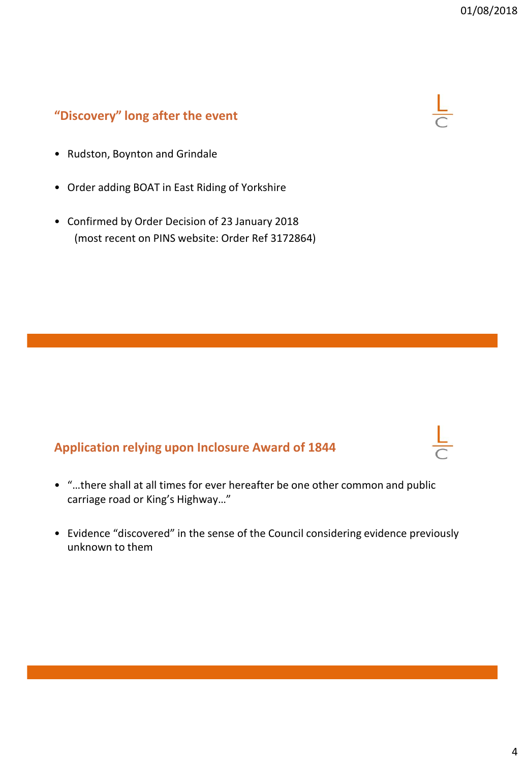# **"Discovery" long after the event**



 $\frac{\mathsf{L}}{\mathsf{L}}$ 

- Rudston, Boynton and Grindale
- Order adding BOAT in East Riding of Yorkshire
- Confirmed by Order Decision of 23 January 2018 (most recent on PINS website: Order Ref 3172864)

### **Application relying upon Inclosure Award of 1844**

- "…there shall at all times for ever hereafter be one other common and public carriage road or King's Highway…"
- Evidence "discovered" in the sense of the Council considering evidence previously unknown to them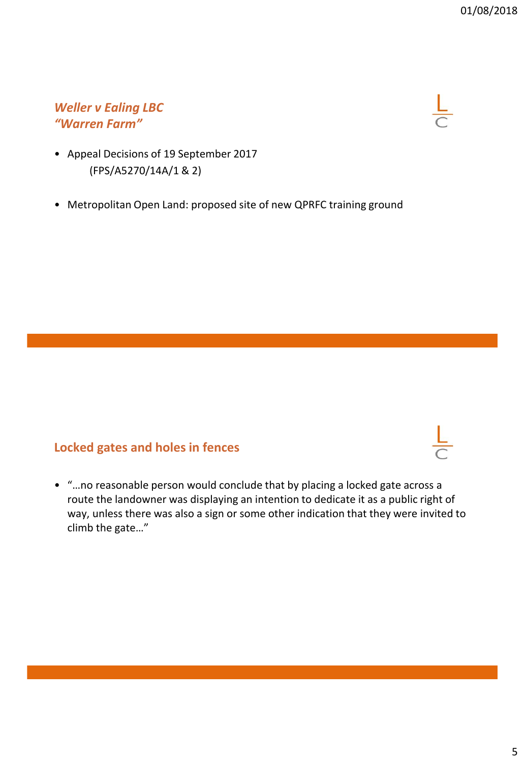### *Weller v Ealing LBC "Warren Farm"*



- Appeal Decisions of 19 September 2017 (FPS/A5270/14A/1 & 2)
- Metropolitan Open Land: proposed site of new QPRFC training ground

### **Locked gates and holes in fences**

• "…no reasonable person would conclude that by placing a locked gate across a route the landowner was displaying an intention to dedicate it as a public right of way, unless there was also a sign or some other indication that they were invited to climb the gate…"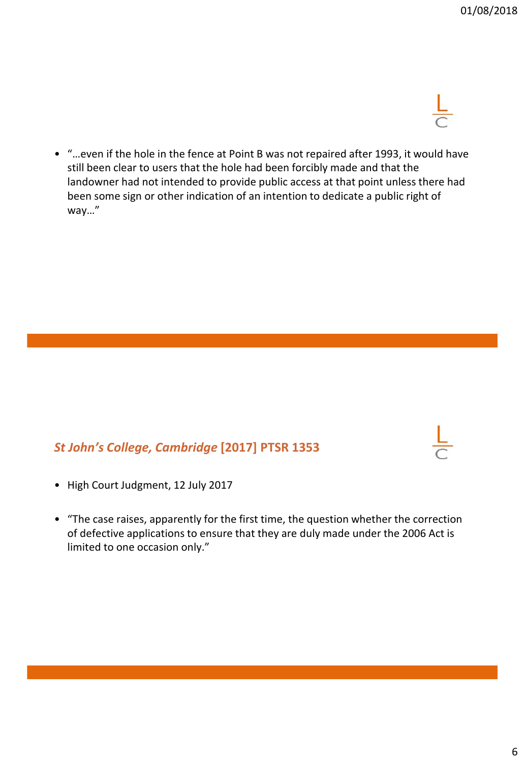• "…even if the hole in the fence at Point B was not repaired after 1993, it would have still been clear to users that the hole had been forcibly made and that the landowner had not intended to provide public access at that point unless there had been some sign or other indication of an intention to dedicate a public right of way…"

### *St John's College, Cambridge* **[2017] PTSR 1353**

- High Court Judgment, 12 July 2017
- "The case raises, apparently for the first time, the question whether the correction of defective applications to ensure that they are duly made under the 2006 Act is limited to one occasion only."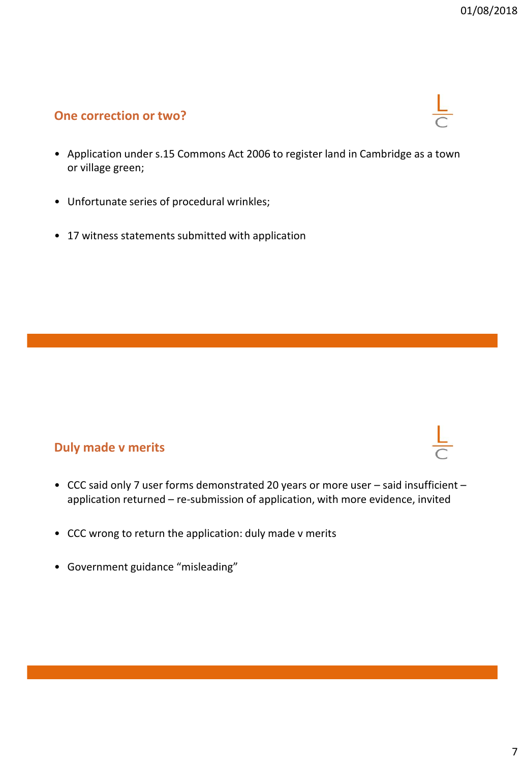#### **One correction or two?**

- Application under s.15 Commons Act 2006 to register land in Cambridge as a town or village green;
- Unfortunate series of procedural wrinkles;
- 17 witness statements submitted with application

### **Duly made v merits**

- CCC said only 7 user forms demonstrated 20 years or more user said insufficient application returned – re-submission of application, with more evidence, invited
- CCC wrong to return the application: duly made v merits
- Government guidance "misleading"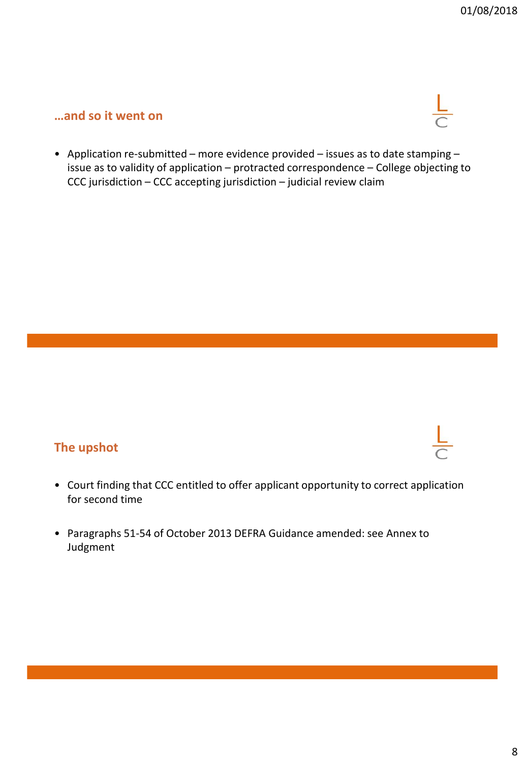#### **…and so it went on**



• Application re-submitted – more evidence provided – issues as to date stamping – issue as to validity of application – protracted correspondence – College objecting to CCC jurisdiction – CCC accepting jurisdiction – judicial review claim

# **The upshot**

- Court finding that CCC entitled to offer applicant opportunity to correct application for second time
- Paragraphs 51-54 of October 2013 DEFRA Guidance amended: see Annex to Judgment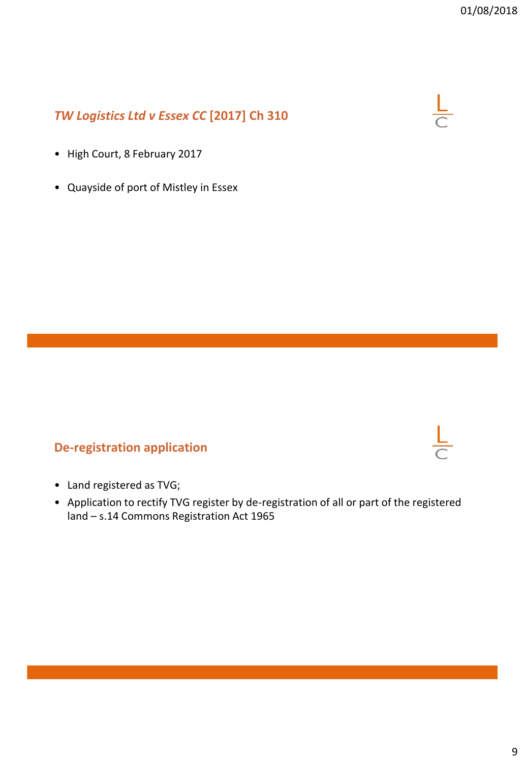# *TW Logistics Ltd v Essex CC* **[2017] Ch 310**



- High Court, 8 February 2017
- Quayside of port of Mistley in Essex

### **De-registration application**

- Land registered as TVG;
- Application to rectify TVG register by de-registration of all or part of the registered land – s.14 Commons Registration Act 1965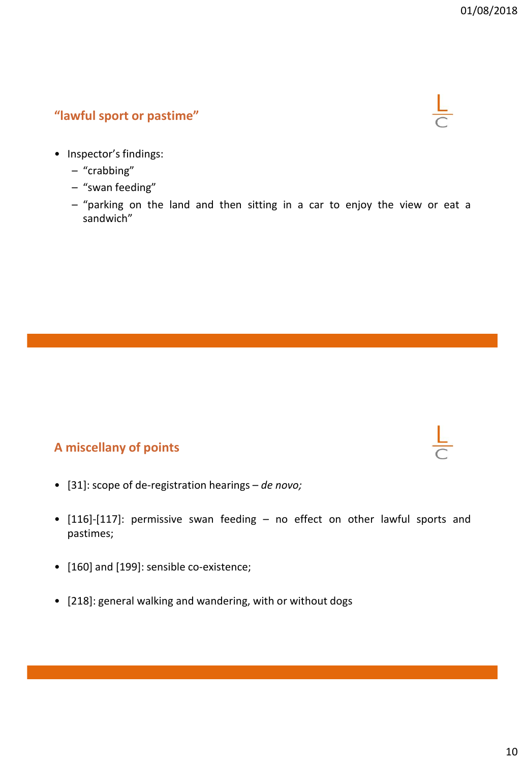# **"lawful sport or pastime"**



- Inspector's findings:
	- "crabbing"
	- "swan feeding"
	- "parking on the land and then sitting in a car to enjoy the view or eat a sandwich"

### **A miscellany of points**

- [31]: scope of de-registration hearings *de novo;*
- [116]-[117]: permissive swan feeding no effect on other lawful sports and pastimes;
- [160] and [199]: sensible co-existence;
- [218]: general walking and wandering, with or without dogs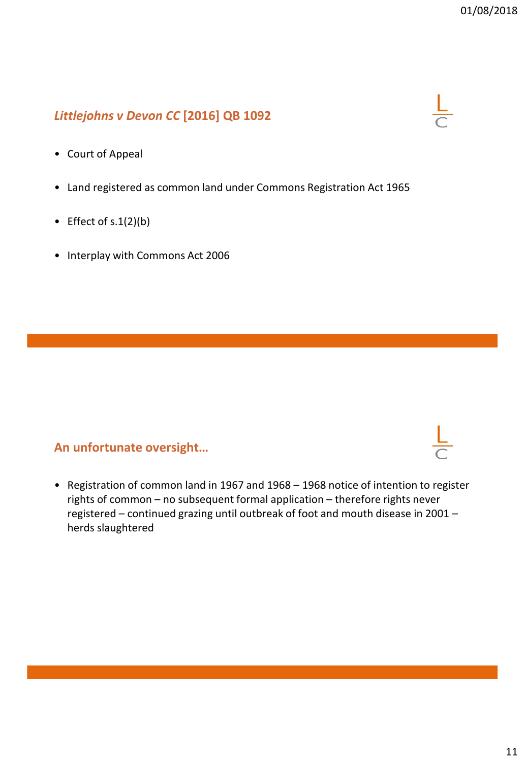# *Littlejohns v Devon CC* **[2016] QB 1092**



- Land registered as common land under Commons Registration Act 1965
- Effect of  $s.1(2)(b)$
- Interplay with Commons Act 2006

#### **An unfortunate oversight…**

• Registration of common land in 1967 and 1968 – 1968 notice of intention to register rights of common – no subsequent formal application – therefore rights never registered – continued grazing until outbreak of foot and mouth disease in 2001 – herds slaughtered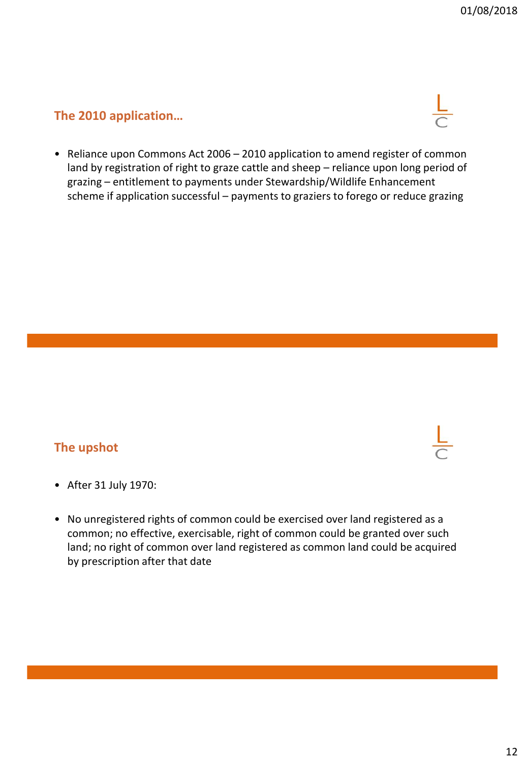### **The 2010 application…**



• Reliance upon Commons Act 2006 – 2010 application to amend register of common land by registration of right to graze cattle and sheep – reliance upon long period of grazing – entitlement to payments under Stewardship/Wildlife Enhancement scheme if application successful – payments to graziers to forego or reduce grazing

### **The upshot**

- After 31 July 1970:
- No unregistered rights of common could be exercised over land registered as a common; no effective, exercisable, right of common could be granted over such land; no right of common over land registered as common land could be acquired by prescription after that date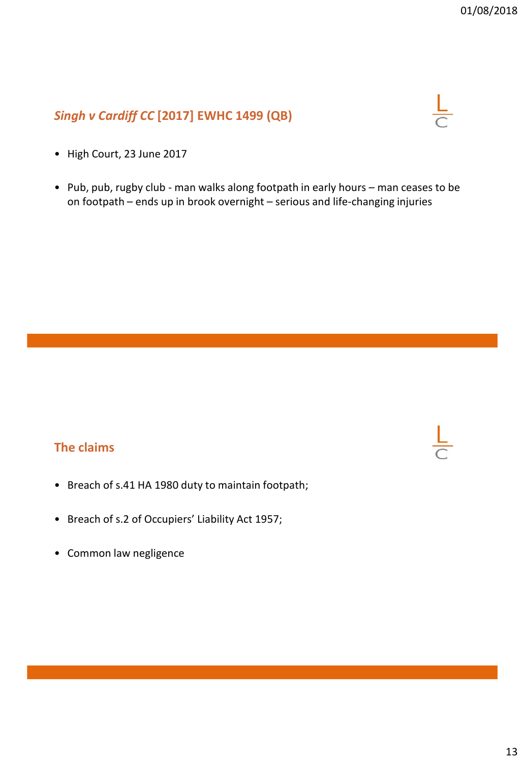# *Singh v Cardiff CC* **[2017] EWHC 1499 (QB)**



- High Court, 23 June 2017
- Pub, pub, rugby club man walks along footpath in early hours man ceases to be on footpath – ends up in brook overnight – serious and life-changing injuries

### **The claims**

- Breach of s.41 HA 1980 duty to maintain footpath;
- Breach of s.2 of Occupiers' Liability Act 1957;
- Common law negligence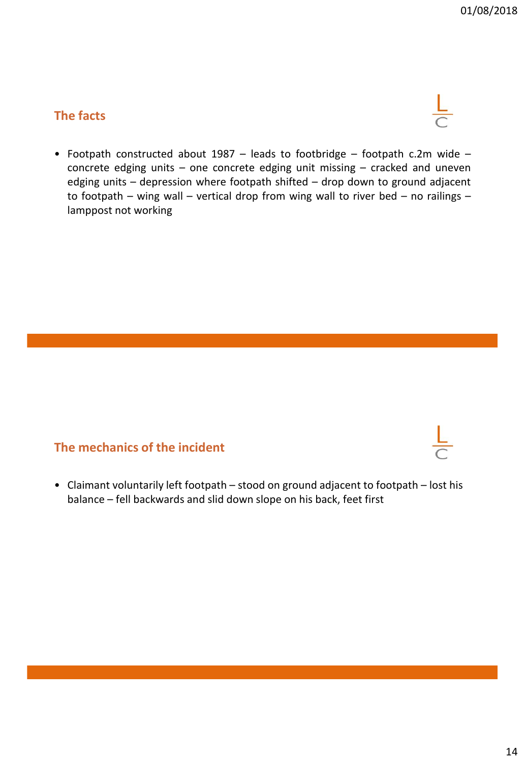### **The facts**

$$
\frac{\mathsf{L}}{\mathsf{C}}
$$

• Footpath constructed about 1987 – leads to footbridge – footpath c.2m wide – concrete edging units – one concrete edging unit missing – cracked and uneven edging units – depression where footpath shifted – drop down to ground adjacent to footpath – wing wall – vertical drop from wing wall to river bed – no railings – lamppost not working

### **The mechanics of the incident**

• Claimant voluntarily left footpath – stood on ground adjacent to footpath – lost his balance – fell backwards and slid down slope on his back, feet first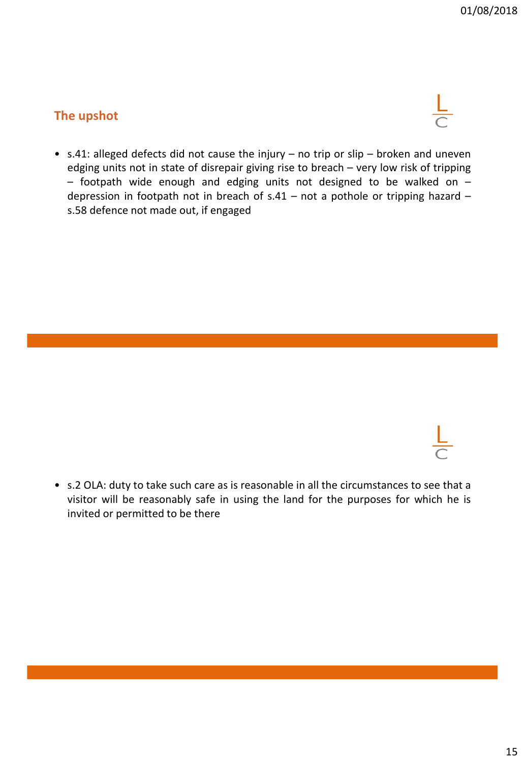# **The upshot**



• s.41: alleged defects did not cause the injury – no trip or slip – broken and uneven edging units not in state of disrepair giving rise to breach – very low risk of tripping – footpath wide enough and edging units not designed to be walked on – depression in footpath not in breach of s.41 – not a pothole or tripping hazard – s.58 defence not made out, if engaged



• s.2 OLA: duty to take such care as is reasonable in all the circumstances to see that a visitor will be reasonably safe in using the land for the purposes for which he is invited or permitted to be there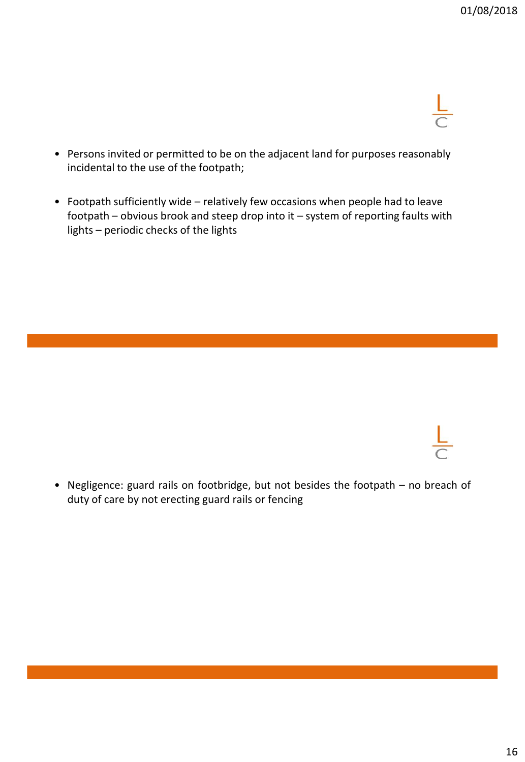- 
- Persons invited or permitted to be on the adjacent land for purposes reasonably incidental to the use of the footpath;
- Footpath sufficiently wide relatively few occasions when people had to leave footpath – obvious brook and steep drop into it – system of reporting faults with lights – periodic checks of the lights



• Negligence: guard rails on footbridge, but not besides the footpath – no breach of duty of care by not erecting guard rails or fencing